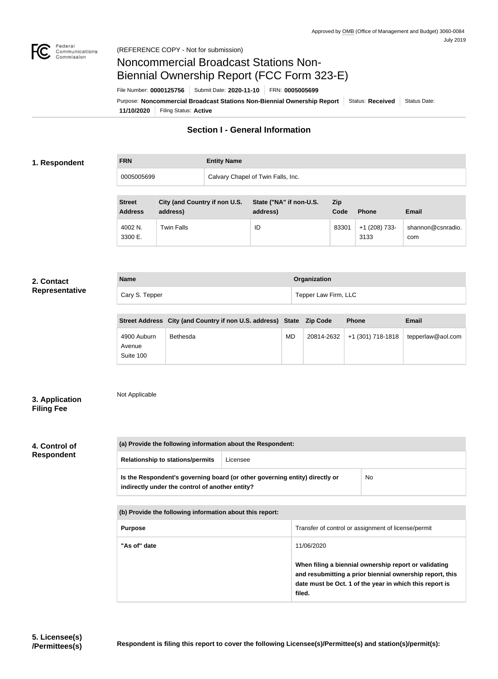

### Federal<br>Communications<br>Commission (REFERENCE COPY - Not for submission)

# Noncommercial Broadcast Stations Non-Biennial Ownership Report (FCC Form 323-E)

File Number: **0000125756** Submit Date: **2020-11-10** FRN: **0005005699**

**(a) Provide the following information about the Respondent:**

**11/10/2020** Filing Status: **Active** Purpose: Noncommercial Broadcast Stations Non-Biennial Ownership Report Status: Received Status Date:

## **Section I - General Information**

### **1. Respondent**

**FRN Entity Name** 0005005699 Calvary Chapel of Twin Falls, Inc.

**Name Organization**

Cary S. Tepper Tepper Cary S. Tepper Law Firm, LLC

| <b>Street</b><br><b>Address</b> | City (and Country if non U.S.<br>address) | State ("NA" if non-U.S.<br>address) | <b>Zip</b><br>Code | <b>Phone</b>          | <b>Email</b>             |
|---------------------------------|-------------------------------------------|-------------------------------------|--------------------|-----------------------|--------------------------|
| 4002 N.<br>3300 E.              | <b>Twin Falls</b>                         | ID                                  | 83301              | +1 (208) 733-<br>3133 | shannon@csnradio.<br>com |

#### **2. Contact Representative**

**4. Control of Respondent**

**3. Application Filing Fee**

| <b>Relationship to stations/permits</b>                                                                                        | Licensee |            |                                                                                                                                                                              |
|--------------------------------------------------------------------------------------------------------------------------------|----------|------------|------------------------------------------------------------------------------------------------------------------------------------------------------------------------------|
| Is the Respondent's governing board (or other governing entity) directly or<br>indirectly under the control of another entity? |          |            | No.                                                                                                                                                                          |
| (b) Provide the following information about this report:                                                                       |          |            |                                                                                                                                                                              |
| Transfer of control or assignment of license/permit<br><b>Purpose</b>                                                          |          |            |                                                                                                                                                                              |
| "As of" date                                                                                                                   |          | 11/06/2020 |                                                                                                                                                                              |
|                                                                                                                                |          | filed.     | When filing a biennial ownership report or validating<br>and resubmitting a prior biennial ownership report, this<br>date must be Oct. 1 of the year in which this report is |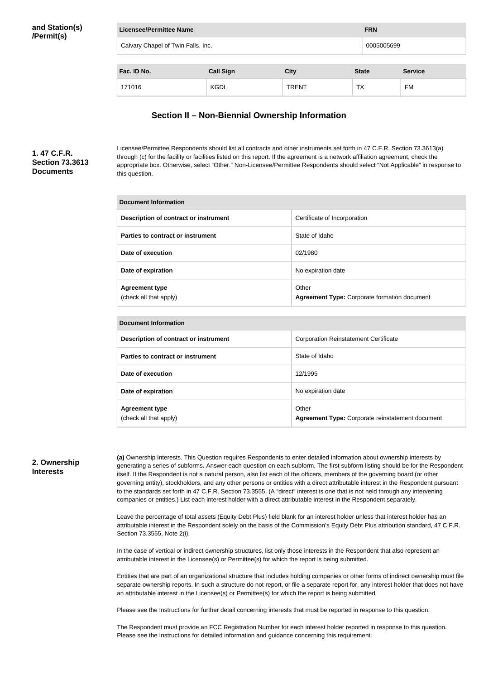| Licensee/Permittee Name            |                  |              | <b>FRN</b>   |                |  |
|------------------------------------|------------------|--------------|--------------|----------------|--|
| Calvary Chapel of Twin Falls, Inc. |                  |              |              | 0005005699     |  |
| Fac. ID No.                        | <b>Call Sign</b> | <b>City</b>  | <b>State</b> | <b>Service</b> |  |
| 171016                             | <b>KGDL</b>      | <b>TRENT</b> | ТX           | FM             |  |

## **Section II – Non-Biennial Ownership Information**

## **1. 47 C.F.R. Section 73.3613 Documents**

Licensee/Permittee Respondents should list all contracts and other instruments set forth in 47 C.F.R. Section 73.3613(a) through (c) for the facility or facilities listed on this report. If the agreement is a network affiliation agreement, check the appropriate box. Otherwise, select "Other." Non-Licensee/Permittee Respondents should select "Not Applicable" in response to this question.

| Document Information                            |                                                              |  |  |  |
|-------------------------------------------------|--------------------------------------------------------------|--|--|--|
| <b>Description of contract or instrument</b>    | Certificate of Incorporation                                 |  |  |  |
| Parties to contract or instrument               | State of Idaho                                               |  |  |  |
| Date of execution                               | 02/1980                                                      |  |  |  |
| Date of expiration                              | No expiration date                                           |  |  |  |
| <b>Agreement type</b><br>(check all that apply) | Other<br><b>Agreement Type: Corporate formation document</b> |  |  |  |

| Document Information                            |                                                                  |  |  |
|-------------------------------------------------|------------------------------------------------------------------|--|--|
| Description of contract or instrument           | <b>Corporation Reinstatement Certificate</b>                     |  |  |
| Parties to contract or instrument               | State of Idaho                                                   |  |  |
| Date of execution                               | 12/1995                                                          |  |  |
| Date of expiration                              | No expiration date                                               |  |  |
| <b>Agreement type</b><br>(check all that apply) | Other<br><b>Agreement Type: Corporate reinstatement document</b> |  |  |

### **2. Ownership Interests**

**(a)** Ownership Interests. This Question requires Respondents to enter detailed information about ownership interests by generating a series of subforms. Answer each question on each subform. The first subform listing should be for the Respondent itself. If the Respondent is not a natural person, also list each of the officers, members of the governing board (or other governing entity), stockholders, and any other persons or entities with a direct attributable interest in the Respondent pursuant to the standards set forth in 47 C.F.R. Section 73.3555. (A "direct" interest is one that is not held through any intervening companies or entities.) List each interest holder with a direct attributable interest in the Respondent separately.

Leave the percentage of total assets (Equity Debt Plus) field blank for an interest holder unless that interest holder has an attributable interest in the Respondent solely on the basis of the Commission's Equity Debt Plus attribution standard, 47 C.F.R. Section 73.3555, Note 2(i).

In the case of vertical or indirect ownership structures, list only those interests in the Respondent that also represent an attributable interest in the Licensee(s) or Permittee(s) for which the report is being submitted.

Entities that are part of an organizational structure that includes holding companies or other forms of indirect ownership must file separate ownership reports. In such a structure do not report, or file a separate report for, any interest holder that does not have an attributable interest in the Licensee(s) or Permittee(s) for which the report is being submitted.

Please see the Instructions for further detail concerning interests that must be reported in response to this question.

The Respondent must provide an FCC Registration Number for each interest holder reported in response to this question. Please see the Instructions for detailed information and guidance concerning this requirement.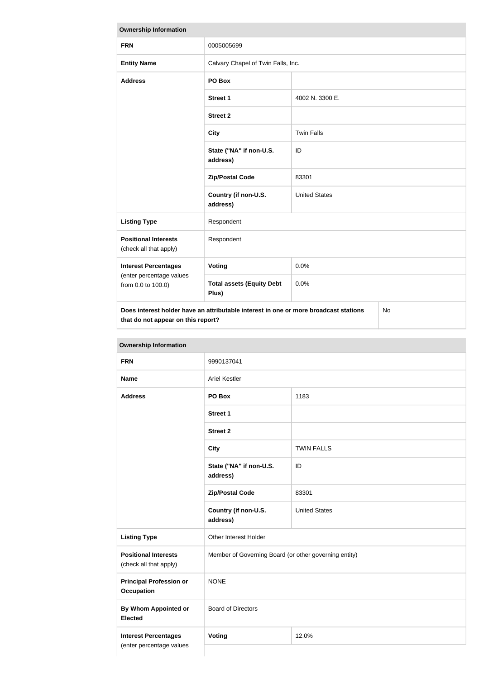| <b>Ownership Information</b>                                                                                                     |                                           |                      |  |
|----------------------------------------------------------------------------------------------------------------------------------|-------------------------------------------|----------------------|--|
| <b>FRN</b>                                                                                                                       | 0005005699                                |                      |  |
| <b>Entity Name</b>                                                                                                               | Calvary Chapel of Twin Falls, Inc.        |                      |  |
| <b>Address</b>                                                                                                                   | PO Box                                    |                      |  |
|                                                                                                                                  | <b>Street 1</b>                           | 4002 N. 3300 E.      |  |
|                                                                                                                                  | <b>Street 2</b>                           |                      |  |
|                                                                                                                                  | <b>City</b>                               | <b>Twin Falls</b>    |  |
|                                                                                                                                  | State ("NA" if non-U.S.<br>address)       | ID                   |  |
|                                                                                                                                  | <b>Zip/Postal Code</b>                    | 83301                |  |
|                                                                                                                                  | Country (if non-U.S.<br>address)          | <b>United States</b> |  |
| <b>Listing Type</b>                                                                                                              | Respondent                                |                      |  |
| <b>Positional Interests</b><br>(check all that apply)                                                                            | Respondent                                |                      |  |
| <b>Interest Percentages</b>                                                                                                      | Voting                                    | 0.0%                 |  |
| (enter percentage values<br>from 0.0 to 100.0)                                                                                   | <b>Total assets (Equity Debt</b><br>Plus) | 0.0%                 |  |
| Does interest holder have an attributable interest in one or more broadcast stations<br>No<br>that do not appear on this report? |                                           |                      |  |

| <b>FRN</b>                                            | 9990137041                                            |                      |  |
|-------------------------------------------------------|-------------------------------------------------------|----------------------|--|
| <b>Name</b>                                           | <b>Ariel Kestler</b>                                  |                      |  |
| <b>Address</b>                                        | PO Box                                                | 1183                 |  |
|                                                       | <b>Street 1</b>                                       |                      |  |
|                                                       | <b>Street 2</b>                                       |                      |  |
|                                                       | <b>City</b>                                           | <b>TWIN FALLS</b>    |  |
|                                                       | State ("NA" if non-U.S.<br>address)                   | ID                   |  |
|                                                       | <b>Zip/Postal Code</b>                                | 83301                |  |
|                                                       | Country (if non-U.S.<br>address)                      | <b>United States</b> |  |
| <b>Listing Type</b>                                   | Other Interest Holder                                 |                      |  |
| <b>Positional Interests</b><br>(check all that apply) | Member of Governing Board (or other governing entity) |                      |  |
| <b>Principal Profession or</b><br><b>Occupation</b>   | <b>NONE</b>                                           |                      |  |
| <b>By Whom Appointed or</b><br><b>Elected</b>         | <b>Board of Directors</b>                             |                      |  |
| <b>Interest Percentages</b>                           | <b>Voting</b><br>12.0%                                |                      |  |

### **Ownership Information**

(enter percentage values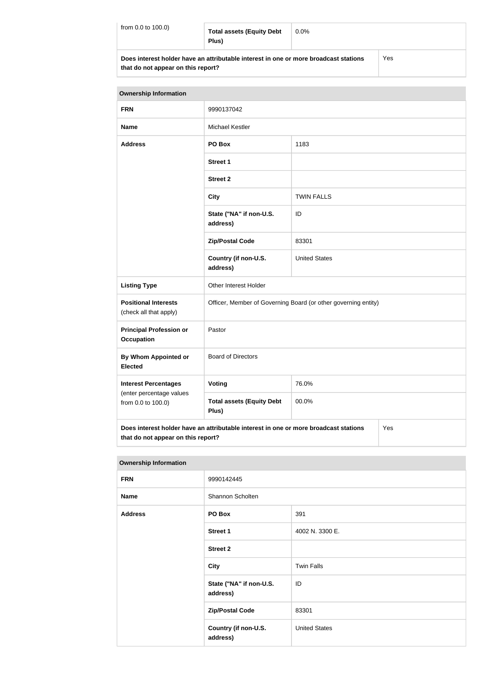| from $0.0$ to $100.0$ ) | <b>Total assets (Equity Debt</b><br>Plus)                                            | $0.0\%$ |     |
|-------------------------|--------------------------------------------------------------------------------------|---------|-----|
|                         | Does interest holder have an attributable interest in one or more broadcast stations |         | Yes |

**that do not appear on this report?**

| <b>Ownership Information</b>                                                                                                      |                                                                |                      |  |  |
|-----------------------------------------------------------------------------------------------------------------------------------|----------------------------------------------------------------|----------------------|--|--|
| <b>FRN</b>                                                                                                                        | 9990137042                                                     |                      |  |  |
| <b>Name</b>                                                                                                                       | <b>Michael Kestler</b>                                         |                      |  |  |
| <b>Address</b>                                                                                                                    | 1183<br>PO Box                                                 |                      |  |  |
|                                                                                                                                   | <b>Street 1</b>                                                |                      |  |  |
|                                                                                                                                   | <b>Street 2</b>                                                |                      |  |  |
|                                                                                                                                   | <b>City</b>                                                    | <b>TWIN FALLS</b>    |  |  |
|                                                                                                                                   | State ("NA" if non-U.S.<br>address)                            | ID                   |  |  |
|                                                                                                                                   | <b>Zip/Postal Code</b>                                         | 83301                |  |  |
|                                                                                                                                   | Country (if non-U.S.<br>address)                               | <b>United States</b> |  |  |
| <b>Listing Type</b>                                                                                                               | Other Interest Holder                                          |                      |  |  |
| <b>Positional Interests</b><br>(check all that apply)                                                                             | Officer, Member of Governing Board (or other governing entity) |                      |  |  |
| <b>Principal Profession or</b><br>Occupation                                                                                      | Pastor                                                         |                      |  |  |
| By Whom Appointed or<br><b>Elected</b>                                                                                            | <b>Board of Directors</b>                                      |                      |  |  |
| <b>Interest Percentages</b>                                                                                                       | Voting                                                         | 76.0%                |  |  |
| (enter percentage values<br>from 0.0 to 100.0)                                                                                    | <b>Total assets (Equity Debt</b><br>Plus)                      | 00.0%                |  |  |
| Does interest holder have an attributable interest in one or more broadcast stations<br>Yes<br>that do not appear on this report? |                                                                |                      |  |  |

| <b>Ownership Information</b> |                                     |                      |  |
|------------------------------|-------------------------------------|----------------------|--|
| <b>FRN</b>                   | 9990142445                          |                      |  |
| <b>Name</b>                  | Shannon Scholten                    |                      |  |
| <b>Address</b><br>PO Box     |                                     | 391                  |  |
|                              | <b>Street 1</b>                     | 4002 N. 3300 E.      |  |
|                              | <b>Street 2</b>                     |                      |  |
|                              | <b>City</b>                         | <b>Twin Falls</b>    |  |
|                              | State ("NA" if non-U.S.<br>address) | ID                   |  |
|                              | <b>Zip/Postal Code</b>              | 83301                |  |
|                              | Country (if non-U.S.<br>address)    | <b>United States</b> |  |